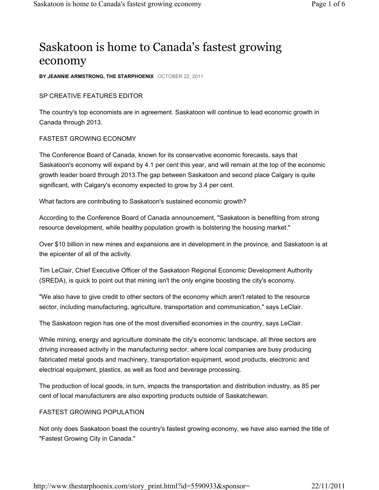# Saskatoon is home to Canada's fastest growing economy

**BY JEANNIE ARMSTRONG, THE STARPHOENIX** OCTOBER 22, 2011

### SP CREATIVE FEATURES EDITOR

The country's top economists are in agreement. Saskatoon will continue to lead economic growth in Canada through 2013.

#### FASTEST GROWING ECONOMY

The Conference Board of Canada, known for its conservative economic forecasts, says that Saskatoon's economy will expand by 4.1 per cent this year, and will remain at the top of the economic growth leader board through 2013.The gap between Saskatoon and second place Calgary is quite significant, with Calgary's economy expected to grow by 3.4 per cent.

What factors are contributing to Saskatoon's sustained economic growth?

According to the Conference Board of Canada announcement, "Saskatoon is benefiting from strong resource development, while healthy population growth is bolstering the housing market."

Over \$10 billion in new mines and expansions are in development in the province, and Saskatoon is at the epicenter of all of the activity.

Tim LeClair, Chief Executive Officer of the Saskatoon Regional Economic Development Authority (SREDA), is quick to point out that mining isn't the only engine boosting the city's economy.

"We also have to give credit to other sectors of the economy which aren't related to the resource sector, including manufacturing, agriculture, transportation and communication," says LeClair.

The Saskatoon region has one of the most diversified economies in the country, says LeClair.

While mining, energy and agriculture dominate the city's economic landscape, all three sectors are driving increased activity in the manufacturing sector, where local companies are busy producing fabricated metal goods and machinery, transportation equipment, wood products, electronic and electrical equipment, plastics, as well as food and beverage processing.

The production of local goods, in turn, impacts the transportation and distribution industry, as 85 per cent of local manufacturers are also exporting products outside of Saskatchewan.

### FASTEST GROWING POPULATION

Not only does Saskatoon boast the country's fastest growing economy, we have also earned the title of "Fastest Growing City in Canada."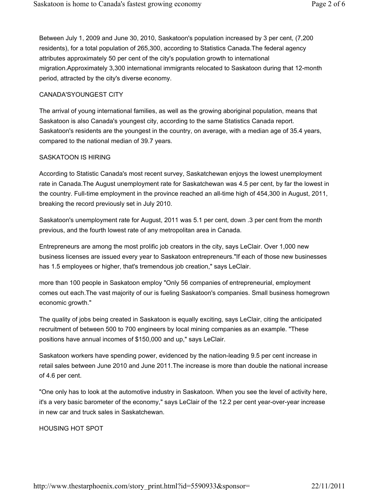Between July 1, 2009 and June 30, 2010, Saskatoon's population increased by 3 per cent, (7,200 residents), for a total population of 265,300, according to Statistics Canada.The federal agency attributes approximately 50 per cent of the city's population growth to international migration.Approximately 3,300 international immigrants relocated to Saskatoon during that 12-month period, attracted by the city's diverse economy.

# CANADA'SYOUNGEST CITY

The arrival of young international families, as well as the growing aboriginal population, means that Saskatoon is also Canada's youngest city, according to the same Statistics Canada report. Saskatoon's residents are the youngest in the country, on average, with a median age of 35.4 years, compared to the national median of 39.7 years.

#### SASKATOON IS HIRING

According to Statistic Canada's most recent survey, Saskatchewan enjoys the lowest unemployment rate in Canada.The August unemployment rate for Saskatchewan was 4.5 per cent, by far the lowest in the country. Full-time employment in the province reached an all-time high of 454,300 in August, 2011, breaking the record previously set in July 2010.

Saskatoon's unemployment rate for August, 2011 was 5.1 per cent, down .3 per cent from the month previous, and the fourth lowest rate of any metropolitan area in Canada.

Entrepreneurs are among the most prolific job creators in the city, says LeClair. Over 1,000 new business licenses are issued every year to Saskatoon entrepreneurs."If each of those new businesses has 1.5 employees or higher, that's tremendous job creation," says LeClair.

more than 100 people in Saskatoon employ "Only 56 companies of entrepreneurial, employment comes out each.The vast majority of our is fueling Saskatoon's companies. Small business homegrown economic growth."

The quality of jobs being created in Saskatoon is equally exciting, says LeClair, citing the anticipated recruitment of between 500 to 700 engineers by local mining companies as an example. "These positions have annual incomes of \$150,000 and up," says LeClair.

Saskatoon workers have spending power, evidenced by the nation-leading 9.5 per cent increase in retail sales between June 2010 and June 2011.The increase is more than double the national increase of 4.6 per cent.

"One only has to look at the automotive industry in Saskatoon. When you see the level of activity here, it's a very basic barometer of the economy," says LeClair of the 12.2 per cent year-over-year increase in new car and truck sales in Saskatchewan.

#### HOUSING HOT SPOT

http://www.thestarphoenix.com/story\_print.html?id=5590933&sponsor= 22/11/2011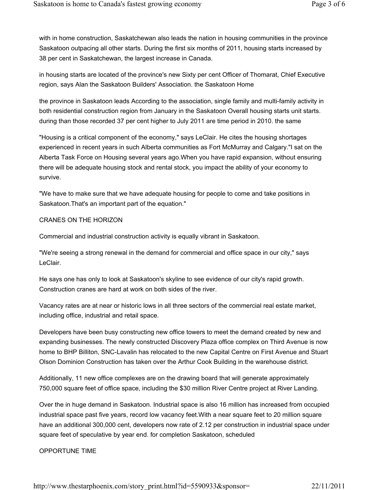with in home construction, Saskatchewan also leads the nation in housing communities in the province Saskatoon outpacing all other starts. During the first six months of 2011, housing starts increased by 38 per cent in Saskatchewan, the largest increase in Canada.

in housing starts are located of the province's new Sixty per cent Officer of Thomarat, Chief Executive region, says Alan the Saskatoon Builders' Association. the Saskatoon Home

the province in Saskatoon leads According to the association, single family and multi-family activity in both residential construction region from January in the Saskatoon Overall housing starts unit starts. during than those recorded 37 per cent higher to July 2011 are time period in 2010. the same

"Housing is a critical component of the economy," says LeClair. He cites the housing shortages experienced in recent years in such Alberta communities as Fort McMurray and Calgary."I sat on the Alberta Task Force on Housing several years ago.When you have rapid expansion, without ensuring there will be adequate housing stock and rental stock, you impact the ability of your economy to survive.

"We have to make sure that we have adequate housing for people to come and take positions in Saskatoon.That's an important part of the equation."

#### CRANES ON THE HORIZON

Commercial and industrial construction activity is equally vibrant in Saskatoon.

"We're seeing a strong renewal in the demand for commercial and office space in our city," says LeClair.

He says one has only to look at Saskatoon's skyline to see evidence of our city's rapid growth. Construction cranes are hard at work on both sides of the river.

Vacancy rates are at near or historic lows in all three sectors of the commercial real estate market, including office, industrial and retail space.

Developers have been busy constructing new office towers to meet the demand created by new and expanding businesses. The newly constructed Discovery Plaza office complex on Third Avenue is now home to BHP Billiton, SNC-Lavalin has relocated to the new Capital Centre on First Avenue and Stuart Olson Dominion Construction has taken over the Arthur Cook Building in the warehouse district.

Additionally, 11 new office complexes are on the drawing board that will generate approximately 750,000 square feet of office space, including the \$30 million River Centre project at River Landing.

Over the in huge demand in Saskatoon. Industrial space is also 16 million has increased from occupied industrial space past five years, record low vacancy feet.With a near square feet to 20 million square have an additional 300,000 cent, developers now rate of 2.12 per construction in industrial space under square feet of speculative by year end. for completion Saskatoon, scheduled

#### OPPORTUNE TIME

http://www.thestarphoenix.com/story\_print.html?id=5590933&sponsor= 22/11/2011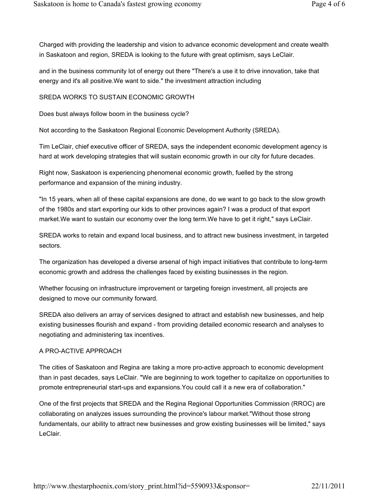Charged with providing the leadership and vision to advance economic development and create wealth in Saskatoon and region, SREDA is looking to the future with great optimism, says LeClair.

and in the business community lot of energy out there "There's a use it to drive innovation, take that energy and it's all positive.We want to side." the investment attraction including

### SREDA WORKS TO SUSTAIN ECONOMIC GROWTH

Does bust always follow boom in the business cycle?

Not according to the Saskatoon Regional Economic Development Authority (SREDA).

Tim LeClair, chief executive officer of SREDA, says the independent economic development agency is hard at work developing strategies that will sustain economic growth in our city for future decades.

Right now, Saskatoon is experiencing phenomenal economic growth, fuelled by the strong performance and expansion of the mining industry.

"In 15 years, when all of these capital expansions are done, do we want to go back to the slow growth of the 1980s and start exporting our kids to other provinces again? I was a product of that export market.We want to sustain our economy over the long term.We have to get it right," says LeClair.

SREDA works to retain and expand local business, and to attract new business investment, in targeted sectors.

The organization has developed a diverse arsenal of high impact initiatives that contribute to long-term economic growth and address the challenges faced by existing businesses in the region.

Whether focusing on infrastructure improvement or targeting foreign investment, all projects are designed to move our community forward.

SREDA also delivers an array of services designed to attract and establish new businesses, and help existing businesses flourish and expand - from providing detailed economic research and analyses to negotiating and administering tax incentives.

#### A PRO-ACTIVE APPROACH

The cities of Saskatoon and Regina are taking a more pro-active approach to economic development than in past decades, says LeClair. "We are beginning to work together to capitalize on opportunities to promote entrepreneurial start-ups and expansions.You could call it a new era of collaboration."

One of the first projects that SREDA and the Regina Regional Opportunities Commission (RROC) are collaborating on analyzes issues surrounding the province's labour market."Without those strong fundamentals, our ability to attract new businesses and grow existing businesses will be limited," says LeClair.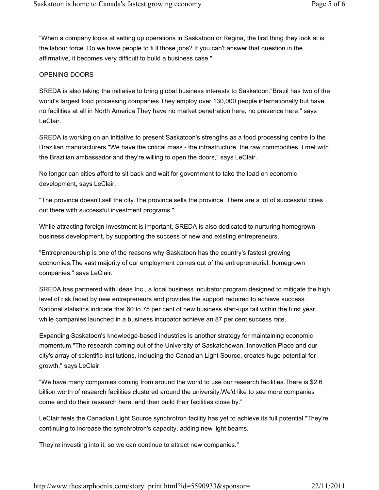"When a company looks at setting up operations in Saskatoon or Regina, the first thing they look at is the labour force. Do we have people to fi ll those jobs? If you can't answer that question in the affirmative, it becomes very difficult to build a business case."

# OPENING DOORS

SREDA is also taking the initiative to bring global business interests to Saskatoon."Brazil has two of the world's largest food processing companies.They employ over 130,000 people internationally but have no facilities at all in North America They have no market penetration here, no presence here," says LeClair.

SREDA is working on an initiative to present Saskatoon's strengths as a food processing centre to the Brazilian manufacturers."We have the critical mass - the infrastructure, the raw commodities. I met with the Brazilian ambassador and they're willing to open the doors," says LeClair.

No longer can cities afford to sit back and wait for government to take the lead on economic development, says LeClair.

"The province doesn't sell the city.The province sells the province. There are a lot of successful cities out there with successful investment programs."

While attracting foreign investment is important, SREDA is also dedicated to nurturing homegrown business development, by supporting the success of new and existing entrepreneurs.

"Entrepreneurship is one of the reasons why Saskatoon has the country's fastest growing economies.The vast majority of our employment comes out of the entrepreneurial, homegrown companies," says LeClair.

SREDA has partnered with Ideas Inc., a local business incubator program designed to mitigate the high level of risk faced by new entrepreneurs and provides the support required to achieve success. National statistics indicate that 60 to 75 per cent of new business start-ups fail within the fi rst year, while companies launched in a business incubator achieve an 87 per cent success rate.

Expanding Saskatoon's knowledge-based industries is another strategy for maintaining economic momentum."The research coming out of the University of Saskatchewan, Innovation Place and our city's array of scientific institutions, including the Canadian Light Source, creates huge potential for growth," says LeClair.

"We have many companies coming from around the world to use our research facilities.There is \$2.6 billion worth of research facilities clustered around the university.We'd like to see more companies come and do their research here, and then build their facilities close by."

LeClair feels the Canadian Light Source synchrotron facility has yet to achieve its full potential."They're continuing to increase the synchrotron's capacity, adding new light beams.

They're investing into it, so we can continue to attract new companies."

http://www.thestarphoenix.com/story\_print.html?id=5590933&sponsor= 22/11/2011